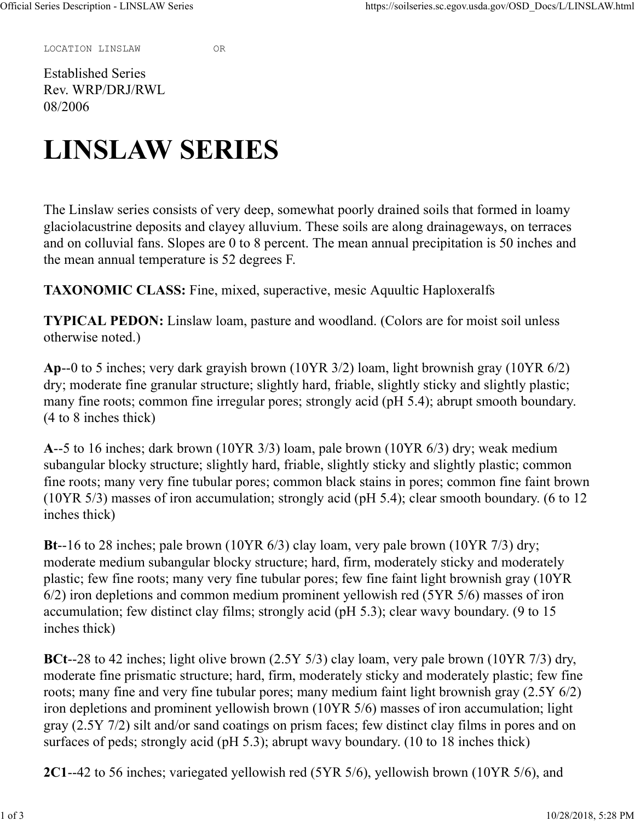LOCATION LINSLAW OR

Established Series Rev. WRP/DRJ/RWL 08/2006

## LINSLAW SERIES

The Linslaw series consists of very deep, somewhat poorly drained soils that formed in loamy glaciolacustrine deposits and clayey alluvium. These soils are along drainageways, on terraces and on colluvial fans. Slopes are 0 to 8 percent. The mean annual precipitation is 50 inches and the mean annual temperature is 52 degrees F.

TAXONOMIC CLASS: Fine, mixed, superactive, mesic Aquultic Haploxeralfs

TYPICAL PEDON: Linslaw loam, pasture and woodland. (Colors are for moist soil unless otherwise noted.)

Ap--0 to 5 inches; very dark grayish brown (10YR 3/2) loam, light brownish gray (10YR 6/2) dry; moderate fine granular structure; slightly hard, friable, slightly sticky and slightly plastic; many fine roots; common fine irregular pores; strongly acid (pH 5.4); abrupt smooth boundary. (4 to 8 inches thick)

A--5 to 16 inches; dark brown (10YR 3/3) loam, pale brown (10YR 6/3) dry; weak medium subangular blocky structure; slightly hard, friable, slightly sticky and slightly plastic; common fine roots; many very fine tubular pores; common black stains in pores; common fine faint brown (10YR 5/3) masses of iron accumulation; strongly acid (pH 5.4); clear smooth boundary. (6 to 12 inches thick)

Bt--16 to 28 inches; pale brown (10YR 6/3) clay loam, very pale brown (10YR 7/3) dry; moderate medium subangular blocky structure; hard, firm, moderately sticky and moderately plastic; few fine roots; many very fine tubular pores; few fine faint light brownish gray (10YR 6/2) iron depletions and common medium prominent yellowish red (5YR 5/6) masses of iron accumulation; few distinct clay films; strongly acid (pH 5.3); clear wavy boundary. (9 to 15 inches thick)

BCt--28 to 42 inches; light olive brown (2.5Y 5/3) clay loam, very pale brown (10YR 7/3) dry, moderate fine prismatic structure; hard, firm, moderately sticky and moderately plastic; few fine roots; many fine and very fine tubular pores; many medium faint light brownish gray (2.5Y 6/2) iron depletions and prominent yellowish brown (10YR 5/6) masses of iron accumulation; light gray (2.5Y 7/2) silt and/or sand coatings on prism faces; few distinct clay films in pores and on surfaces of peds; strongly acid (pH 5.3); abrupt wavy boundary. (10 to 18 inches thick)

2C1--42 to 56 inches; variegated yellowish red (5YR 5/6), yellowish brown (10YR 5/6), and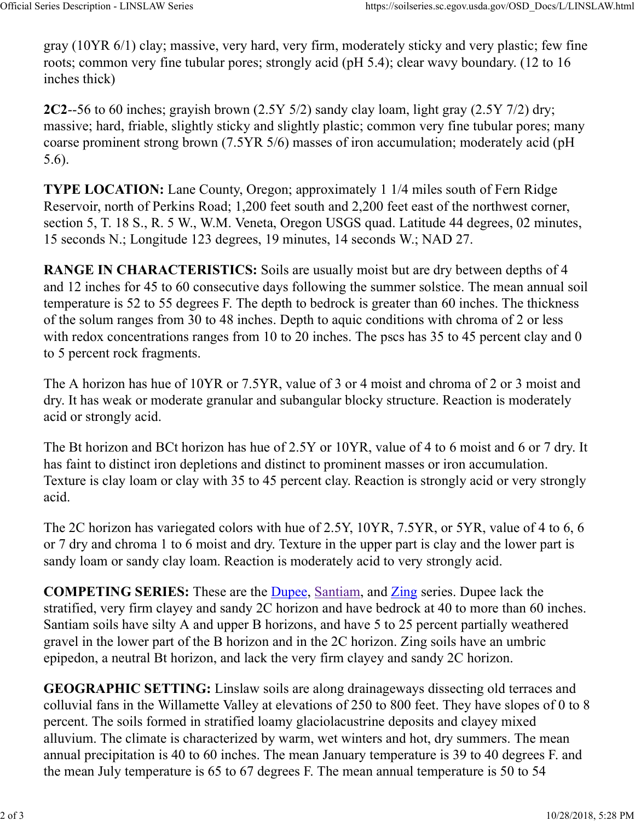gray (10YR 6/1) clay; massive, very hard, very firm, moderately sticky and very plastic; few fine roots; common very fine tubular pores; strongly acid (pH 5.4); clear wavy boundary. (12 to 16 inches thick) Official Series Description - LINSLAW Series<br>
gray (10YR 6/1) clay; massive, very hard, very firm, moderately sticky and very plastic; few fine<br>
roots; common very fine tubular pores; strongly acid (pH 5.4); clear wavy bou

2C2--56 to 60 inches; grayish brown (2.5Y 5/2) sandy clay loam, light gray (2.5Y 7/2) dry; massive; hard, friable, slightly sticky and slightly plastic; common very fine tubular pores; many coarse prominent strong brown (7.5YR 5/6) masses of iron accumulation; moderately acid (pH 5.6).

TYPE LOCATION: Lane County, Oregon; approximately 1 1/4 miles south of Fern Ridge Reservoir, north of Perkins Road; 1,200 feet south and 2,200 feet east of the northwest corner, section 5, T. 18 S., R. 5 W., W.M. Veneta, Oregon USGS quad. Latitude 44 degrees, 02 minutes, 15 seconds N.; Longitude 123 degrees, 19 minutes, 14 seconds W.; NAD 27.

RANGE IN CHARACTERISTICS: Soils are usually moist but are dry between depths of 4 and 12 inches for 45 to 60 consecutive days following the summer solstice. The mean annual soil temperature is 52 to 55 degrees F. The depth to bedrock is greater than 60 inches. The thickness of the solum ranges from 30 to 48 inches. Depth to aquic conditions with chroma of 2 or less with redox concentrations ranges from 10 to 20 inches. The pscs has 35 to 45 percent clay and 0 to 5 percent rock fragments.

The A horizon has hue of 10YR or 7.5YR, value of 3 or 4 moist and chroma of 2 or 3 moist and dry. It has weak or moderate granular and subangular blocky structure. Reaction is moderately acid or strongly acid.

The Bt horizon and BCt horizon has hue of 2.5Y or 10YR, value of 4 to 6 moist and 6 or 7 dry. It has faint to distinct iron depletions and distinct to prominent masses or iron accumulation. Texture is clay loam or clay with 35 to 45 percent clay. Reaction is strongly acid or very strongly acid.

The 2C horizon has variegated colors with hue of 2.5Y, 10YR, 7.5YR, or 5YR, value of 4 to 6, 6 or 7 dry and chroma 1 to 6 moist and dry. Texture in the upper part is clay and the lower part is sandy loam or sandy clay loam. Reaction is moderately acid to very strongly acid.

COMPETING SERIES: These are the Dupee, Santiam, and Zing series. Dupee lack the stratified, very firm clayey and sandy 2C horizon and have bedrock at 40 to more than 60 inches. Santiam soils have silty A and upper B horizons, and have 5 to 25 percent partially weathered gravel in the lower part of the B horizon and in the 2C horizon. Zing soils have an umbric epipedon, a neutral Bt horizon, and lack the very firm clayey and sandy 2C horizon.

GEOGRAPHIC SETTING: Linslaw soils are along drainageways dissecting old terraces and colluvial fans in the Willamette Valley at elevations of 250 to 800 feet. They have slopes of 0 to 8 percent. The soils formed in stratified loamy glaciolacustrine deposits and clayey mixed alluvium. The climate is characterized by warm, wet winters and hot, dry summers. The mean annual precipitation is 40 to 60 inches. The mean January temperature is 39 to 40 degrees F. and the mean July temperature is 65 to 67 degrees F. The mean annual temperature is 50 to 54